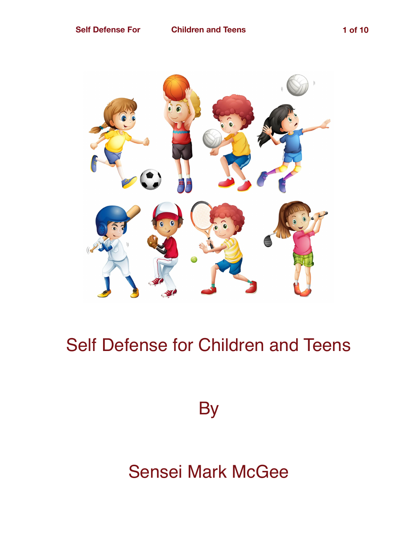

## Self Defense for Children and Teens

**By** 

## Sensei Mark McGee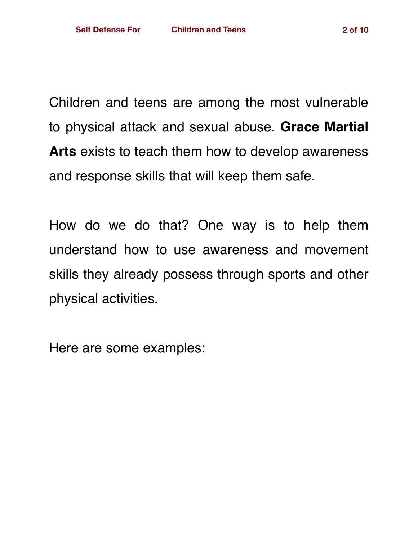Children and teens are among the most vulnerable to physical attack and sexual abuse. **Grace Martial Arts** exists to teach them how to develop awareness and response skills that will keep them safe.

How do we do that? One way is to help them understand how to use awareness and movement skills they already possess through sports and other physical activities.

Here are some examples: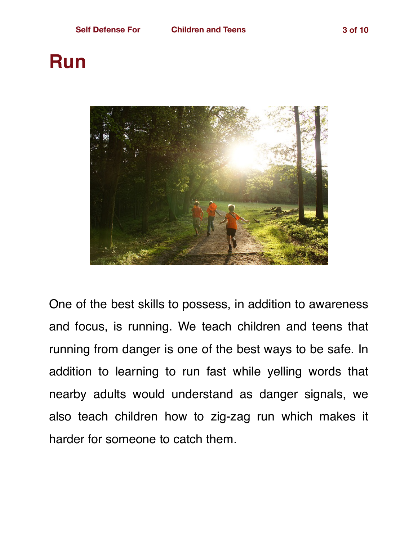## **Run**



One of the best skills to possess, in addition to awareness and focus, is running. We teach children and teens that running from danger is one of the best ways to be safe. In addition to learning to run fast while yelling words that nearby adults would understand as danger signals, we also teach children how to zig-zag run which makes it harder for someone to catch them.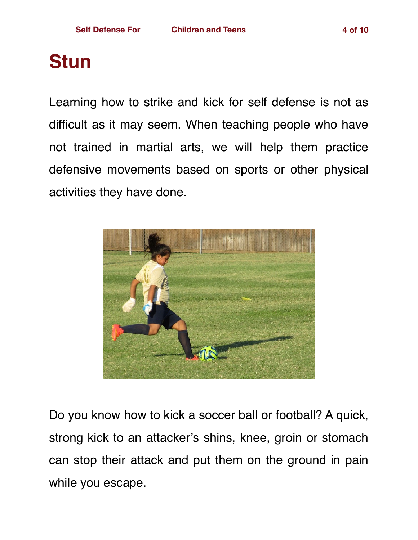# **Stun**

Learning how to strike and kick for self defense is not as difficult as it may seem. When teaching people who have not trained in martial arts, we will help them practice defensive movements based on sports or other physical activities they have done.



Do you know how to kick a soccer ball or football? A quick, strong kick to an attacker's shins, knee, groin or stomach can stop their attack and put them on the ground in pain while you escape.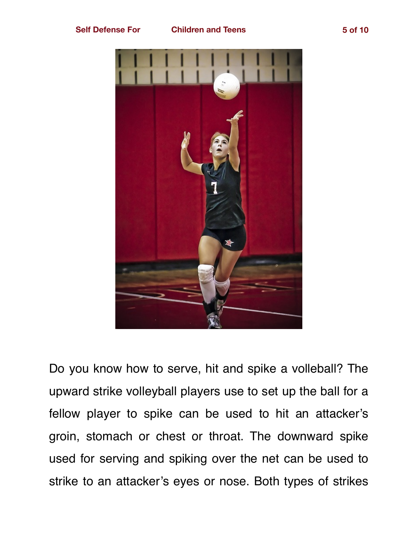



Do you know how to serve, hit and spike a volleball? The upward strike volleyball players use to set up the ball for a fellow player to spike can be used to hit an attacker's groin, stomach or chest or throat. The downward spike used for serving and spiking over the net can be used to strike to an attacker's eyes or nose. Both types of strikes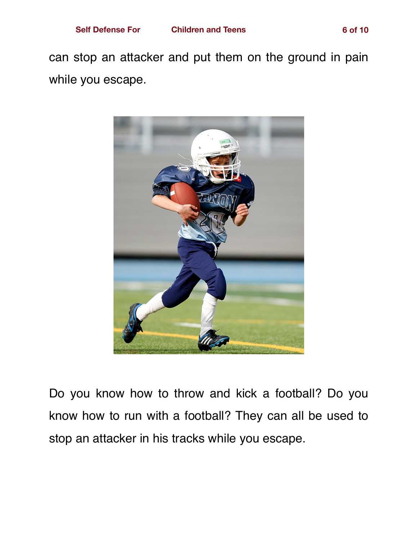can stop an attacker and put them on the ground in pain while you escape.



Do you know how to throw and kick a football? Do you know how to run with a football? They can all be used to stop an attacker in his tracks while you escape.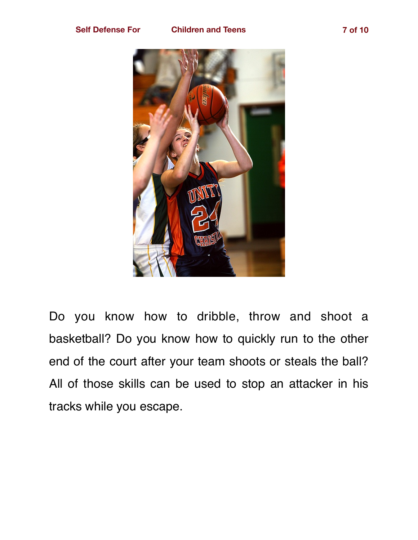

Do you know how to dribble, throw and shoot a basketball? Do you know how to quickly run to the other end of the court after your team shoots or steals the ball? All of those skills can be used to stop an attacker in his tracks while you escape.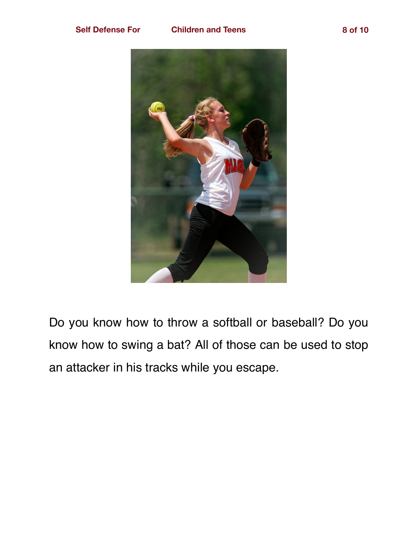

Do you know how to throw a softball or baseball? Do you know how to swing a bat? All of those can be used to stop an attacker in his tracks while you escape.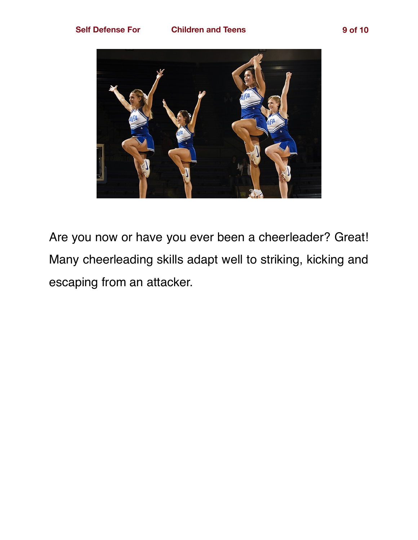

Are you now or have you ever been a cheerleader? Great! Many cheerleading skills adapt well to striking, kicking and escaping from an attacker.